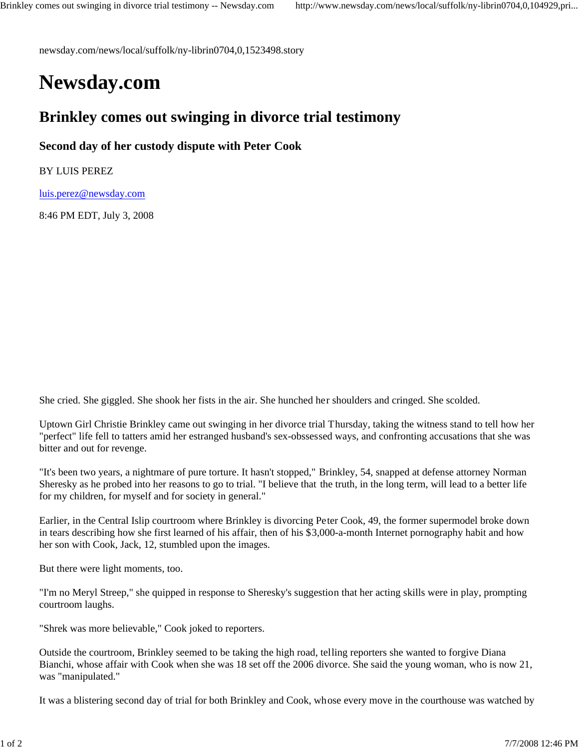newsday.com/news/local/suffolk/ny-librin0704,0,1523498.story

## **Newsday.com**

## **Brinkley comes out swinging in divorce trial testimony**

**Second day of her custody dispute with Peter Cook**

BY LUIS PEREZ

luis.perez@newsday.com

8:46 PM EDT, July 3, 2008

She cried. She giggled. She shook her fists in the air. She hunched her shoulders and cringed. She scolded.

Uptown Girl Christie Brinkley came out swinging in her divorce trial Thursday, taking the witness stand to tell how her "perfect" life fell to tatters amid her estranged husband's sex-obssessed ways, and confronting accusations that she was bitter and out for revenge.

"It's been two years, a nightmare of pure torture. It hasn't stopped," Brinkley, 54, snapped at defense attorney Norman Sheresky as he probed into her reasons to go to trial. "I believe that the truth, in the long term, will lead to a better life for my children, for myself and for society in general."

Earlier, in the Central Islip courtroom where Brinkley is divorcing Peter Cook, 49, the former supermodel broke down in tears describing how she first learned of his affair, then of his \$3,000-a-month Internet pornography habit and how her son with Cook, Jack, 12, stumbled upon the images.

But there were light moments, too.

"I'm no Meryl Streep," she quipped in response to Sheresky's suggestion that her acting skills were in play, prompting courtroom laughs.

"Shrek was more believable," Cook joked to reporters.

Outside the courtroom, Brinkley seemed to be taking the high road, telling reporters she wanted to forgive Diana Bianchi, whose affair with Cook when she was 18 set off the 2006 divorce. She said the young woman, who is now 21, was "manipulated."

It was a blistering second day of trial for both Brinkley and Cook, whose every move in the courthouse was watched by